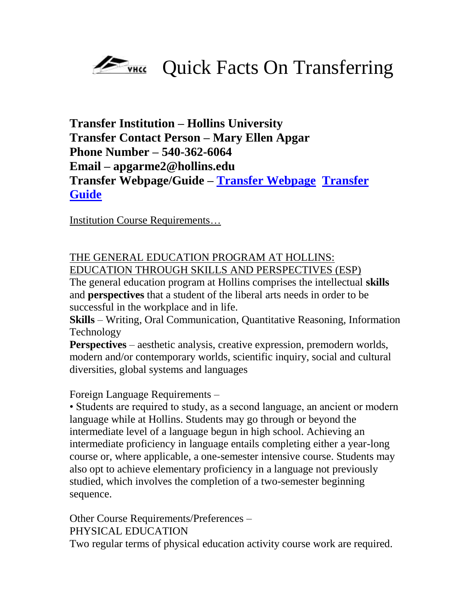

## **Transfer Institution – Hollins University Transfer Contact Person – Mary Ellen Apgar Phone Number – 540-362-6064 Email – apgarme2@hollins.edu Transfer Webpage/Guide – [Transfer Webpage](http://www.hollins.edu/admissions/transfer/index.shtml) [Transfer](http://www.hollins.edu/admissions/pdfs/transfer_guide.pdf)  [Guide](http://www.hollins.edu/admissions/pdfs/transfer_guide.pdf)**

Institution Course Requirements…

## THE GENERAL EDUCATION PROGRAM AT HOLLINS: EDUCATION THROUGH SKILLS AND PERSPECTIVES (ESP)

The general education program at Hollins comprises the intellectual **skills**  and **perspectives** that a student of the liberal arts needs in order to be successful in the workplace and in life.

**Skills** – Writing, Oral Communication, Quantitative Reasoning, Information Technology

**Perspectives** – aesthetic analysis, creative expression, premodern worlds, modern and/or contemporary worlds, scientific inquiry, social and cultural diversities, global systems and languages

## Foreign Language Requirements –

• Students are required to study, as a second language, an ancient or modern language while at Hollins. Students may go through or beyond the intermediate level of a language begun in high school. Achieving an intermediate proficiency in language entails completing either a year-long course or, where applicable, a one-semester intensive course. Students may also opt to achieve elementary proficiency in a language not previously studied, which involves the completion of a two-semester beginning sequence.

Other Course Requirements/Preferences – PHYSICAL EDUCATION Two regular terms of physical education activity course work are required.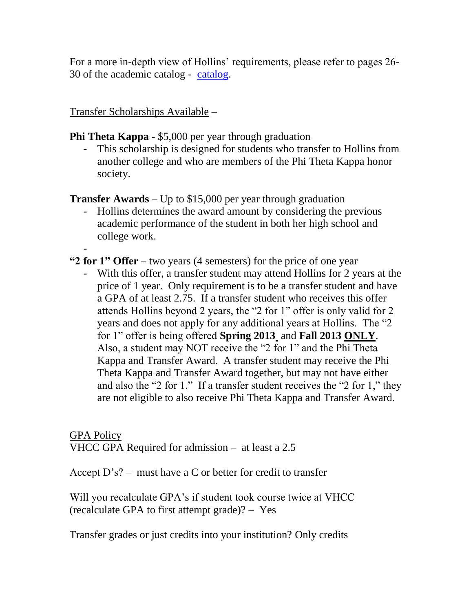For a more in-depth view of Hollins' requirements, please refer to pages 26- 30 of the academic catalog - [catalog.](http://www.hollins.edu/registrar/catalogs/2012-13_undergradCatalog.pdf)

Transfer Scholarships Available –

**Phi Theta Kappa** - \$5,000 per year through graduation

- This scholarship is designed for students who transfer to Hollins from another college and who are members of the Phi Theta Kappa honor society.

**Transfer Awards** – Up to \$15,000 per year through graduation

- Hollins determines the award amount by considering the previous academic performance of the student in both her high school and college work.
- **"2 for 1" Offer** – two years (4 semesters) for the price of one year
	- With this offer, a transfer student may attend Hollins for 2 years at the price of 1 year. Only requirement is to be a transfer student and have a GPA of at least 2.75. If a transfer student who receives this offer attends Hollins beyond 2 years, the "2 for 1" offer is only valid for 2 years and does not apply for any additional years at Hollins. The "2" for 1‖ offer is being offered **Spring 2013** and **Fall 2013 ONLY**. Also, a student may NOT receive the "2 for 1" and the Phi Theta Kappa and Transfer Award. A transfer student may receive the Phi Theta Kappa and Transfer Award together, but may not have either and also the  $"2$  for 1." If a transfer student receives the  $"2$  for 1," they are not eligible to also receive Phi Theta Kappa and Transfer Award.

GPA Policy VHCC GPA Required for admission – at least a 2.5

Accept  $D's$ ? – must have a C or better for credit to transfer

Will you recalculate GPA's if student took course twice at VHCC (recalculate GPA to first attempt grade)? – Yes

Transfer grades or just credits into your institution? Only credits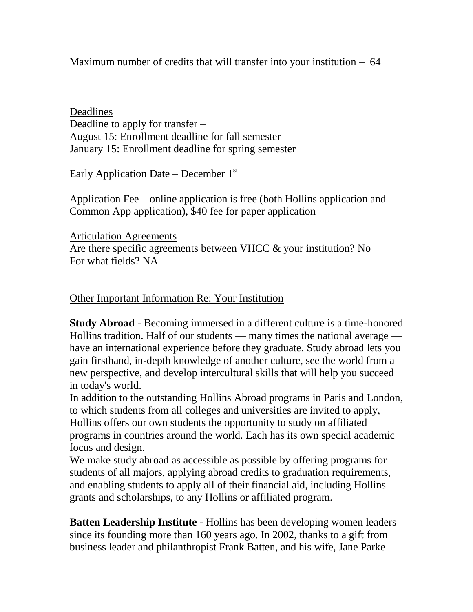Maximum number of credits that will transfer into your institution – 64

Deadlines Deadline to apply for transfer – August 15: Enrollment deadline for fall semester January 15: Enrollment deadline for spring semester

Early Application Date – December  $1<sup>st</sup>$ 

Application Fee – online application is free (both Hollins application and Common App application), \$40 fee for paper application

Articulation Agreements Are there specific agreements between VHCC & your institution? No For what fields? NA

Other Important Information Re: Your Institution –

**Study Abroad** - Becoming immersed in a different culture is a time-honored Hollins tradition. Half of our students — many times the national average have an international experience before they graduate. Study abroad lets you gain firsthand, in-depth knowledge of another culture, see the world from a new perspective, and develop intercultural skills that will help you succeed in today's world.

In addition to the outstanding Hollins Abroad programs in Paris and London, to which students from all colleges and universities are invited to apply, Hollins offers our own students the opportunity to study on affiliated programs in countries around the world. Each has its own special academic focus and design.

We make study abroad as accessible as possible by offering programs for students of all majors, applying abroad credits to graduation requirements, and enabling students to apply all of their financial aid, including Hollins grants and scholarships, to any Hollins or affiliated program.

**Batten Leadership Institute** - Hollins has been developing women leaders since its founding more than 160 years ago. In 2002, thanks to a gift from business leader and philanthropist Frank Batten, and his wife, Jane Parke